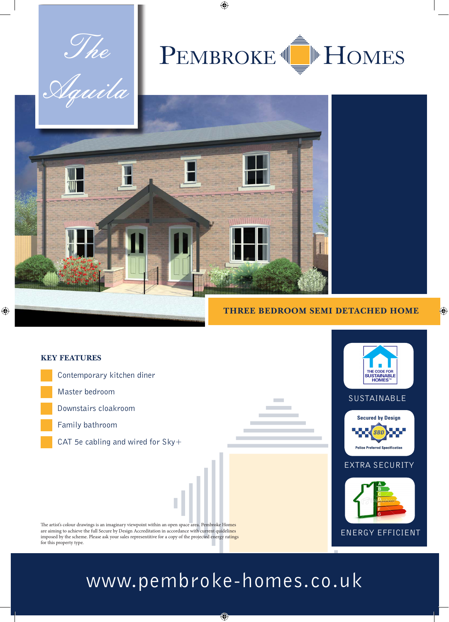The Aquila

 $\bigoplus$ 

## PEMBROKE I MULLES

 $\bigoplus$ 



## **THREE BEDROOM SEMI DETACHED HOME**

 $\bigoplus$ 



## www.pembroke-homes.co.uk

♦